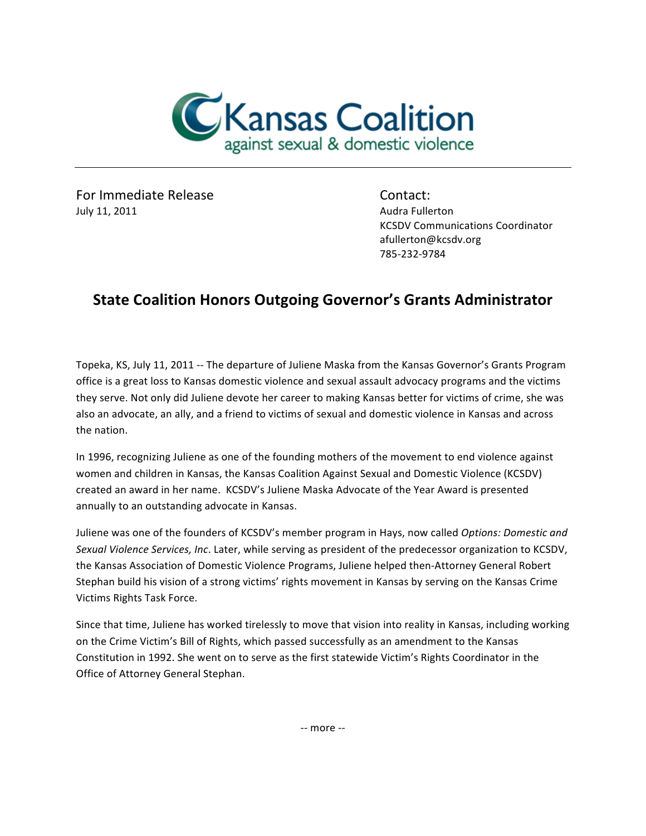

For Immediate Release Contact: July 11, 2011 **Audra Fullerton Audra Fullerton** 

**KCSDV Communications Coordinator** afullerton@kcsdv.org 785-232-9784

## **State Coalition Honors Outgoing Governor's Grants Administrator**

Topeka, KS, July 11, 2011 -- The departure of Juliene Maska from the Kansas Governor's Grants Program office is a great loss to Kansas domestic violence and sexual assault advocacy programs and the victims they serve. Not only did Juliene devote her career to making Kansas better for victims of crime, she was also an advocate, an ally, and a friend to victims of sexual and domestic violence in Kansas and across the nation.

In 1996, recognizing Juliene as one of the founding mothers of the movement to end violence against women and children in Kansas, the Kansas Coalition Against Sexual and Domestic Violence (KCSDV) created an award in her name. KCSDV's Juliene Maska Advocate of the Year Award is presented annually to an outstanding advocate in Kansas.

Juliene was one of the founders of KCSDV's member program in Hays, now called *Options: Domestic and Sexual Violence Services, Inc.* Later, while serving as president of the predecessor organization to KCSDV, the Kansas Association of Domestic Violence Programs, Juliene helped then-Attorney General Robert Stephan build his vision of a strong victims' rights movement in Kansas by serving on the Kansas Crime Victims Rights Task Force.

Since that time, Juliene has worked tirelessly to move that vision into reality in Kansas, including working on the Crime Victim's Bill of Rights, which passed successfully as an amendment to the Kansas Constitution in 1992. She went on to serve as the first statewide Victim's Rights Coordinator in the Office of Attorney General Stephan.

 $-$  more  $-$